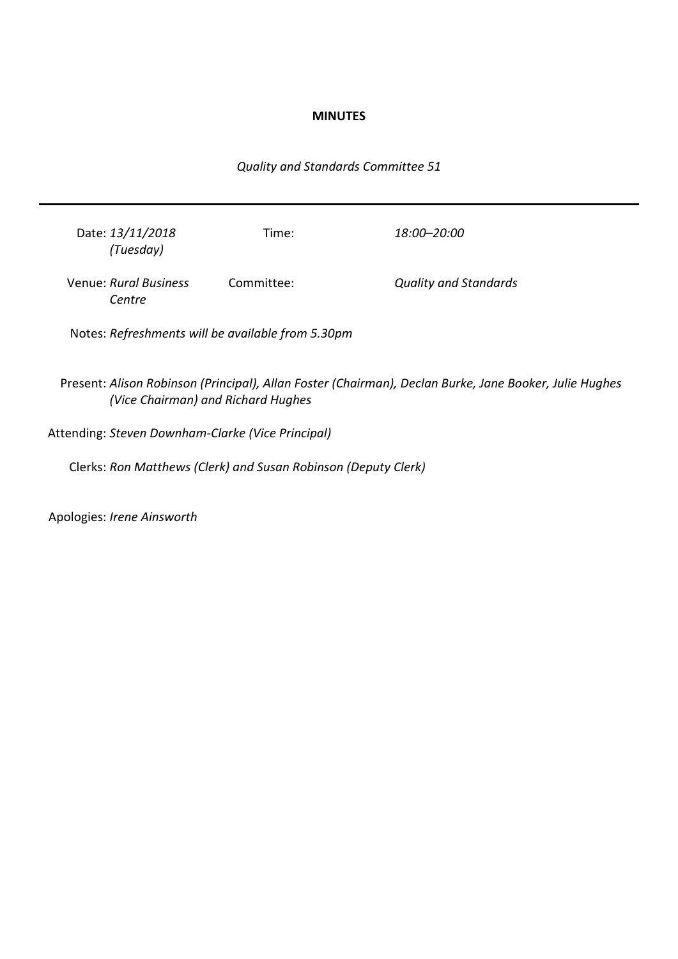### **MINUTES**

# *Quality and Standards Committee 51*

| Date: 13/11/2018<br>(Tuesday)   | Time:      | 18:00–20:00                  |
|---------------------------------|------------|------------------------------|
| Venue: Rural Business<br>Centre | Committee: | <b>Quality and Standards</b> |

Notes: *Refreshments will be available from 5.30pm*

Present: *Alison Robinson (Principal), Allan Foster (Chairman), Declan Burke, Jane Booker, Julie Hughes (Vice Chairman) and Richard Hughes*

Attending: *Steven Downham-Clarke (Vice Principal)*

Clerks: *Ron Matthews (Clerk) and Susan Robinson (Deputy Clerk)*

Apologies: *Irene Ainsworth*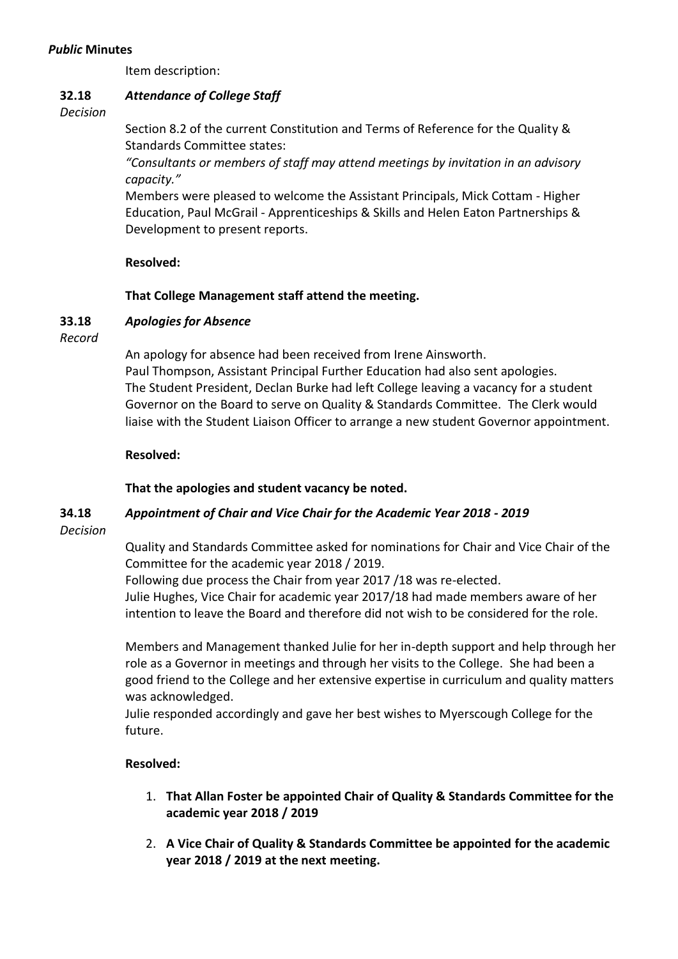### *Public* **Minutes**

Item description:

#### **32.18** *Attendance of College Staff*

*Decision*

Section 8.2 of the current Constitution and Terms of Reference for the Quality & Standards Committee states:

*"Consultants or members of staff may attend meetings by invitation in an advisory capacity."*

Members were pleased to welcome the Assistant Principals, Mick Cottam - Higher Education, Paul McGrail - Apprenticeships & Skills and Helen Eaton Partnerships & Development to present reports.

### **Resolved:**

### **That College Management staff attend the meeting.**

#### **33.18** *Apologies for Absence*

*Record*

An apology for absence had been received from Irene Ainsworth. Paul Thompson, Assistant Principal Further Education had also sent apologies. The Student President, Declan Burke had left College leaving a vacancy for a student Governor on the Board to serve on Quality & Standards Committee. The Clerk would liaise with the Student Liaison Officer to arrange a new student Governor appointment.

#### **Resolved:**

### **That the apologies and student vacancy be noted.**

#### **34.18** *Appointment of Chair and Vice Chair for the Academic Year 2018 - 2019*

*Decision*

Quality and Standards Committee asked for nominations for Chair and Vice Chair of the Committee for the academic year 2018 / 2019.

Following due process the Chair from year 2017 /18 was re-elected. Julie Hughes, Vice Chair for academic year 2017/18 had made members aware of her intention to leave the Board and therefore did not wish to be considered for the role.

Members and Management thanked Julie for her in-depth support and help through her role as a Governor in meetings and through her visits to the College. She had been a good friend to the College and her extensive expertise in curriculum and quality matters was acknowledged.

Julie responded accordingly and gave her best wishes to Myerscough College for the future.

### **Resolved:**

- 1. **That Allan Foster be appointed Chair of Quality & Standards Committee for the academic year 2018 / 2019**
- 2. **A Vice Chair of Quality & Standards Committee be appointed for the academic year 2018 / 2019 at the next meeting.**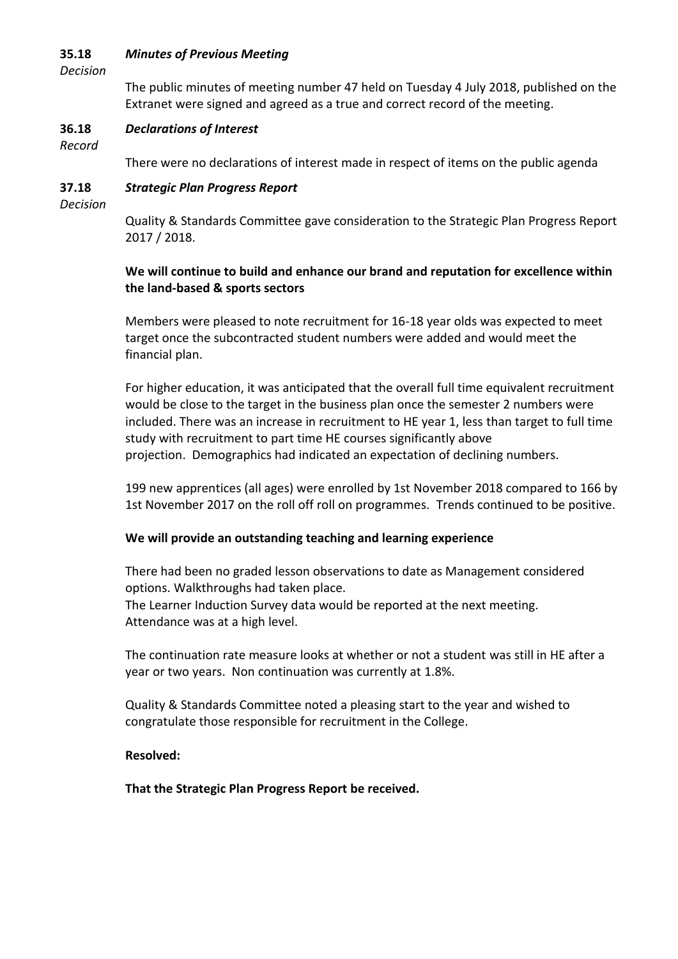#### **35.18** *Minutes of Previous Meeting*

*Decision*

The public minutes of meeting number 47 held on Tuesday 4 July 2018, published on the Extranet were signed and agreed as a true and correct record of the meeting.

#### **36.18** *Declarations of Interest*

*Record*

There were no declarations of interest made in respect of items on the public agenda

#### **37.18** *Strategic Plan Progress Report*

*Decision*

Quality & Standards Committee gave consideration to the Strategic Plan Progress Report 2017 / 2018.

# **We will continue to build and enhance our brand and reputation for excellence within the land-based & sports sectors**

Members were pleased to note recruitment for 16-18 year olds was expected to meet target once the subcontracted student numbers were added and would meet the financial plan.

For higher education, it was anticipated that the overall full time equivalent recruitment would be close to the target in the business plan once the semester 2 numbers were included. There was an increase in recruitment to HE year 1, less than target to full time study with recruitment to part time HE courses significantly above projection. Demographics had indicated an expectation of declining numbers.

199 new apprentices (all ages) were enrolled by 1st November 2018 compared to 166 by 1st November 2017 on the roll off roll on programmes. Trends continued to be positive.

### **We will provide an outstanding teaching and learning experience**

There had been no graded lesson observations to date as Management considered options. Walkthroughs had taken place. The Learner Induction Survey data would be reported at the next meeting. Attendance was at a high level.

The continuation rate measure looks at whether or not a student was still in HE after a year or two years. Non continuation was currently at 1.8%.

Quality & Standards Committee noted a pleasing start to the year and wished to congratulate those responsible for recruitment in the College.

### **Resolved:**

**That the Strategic Plan Progress Report be received.**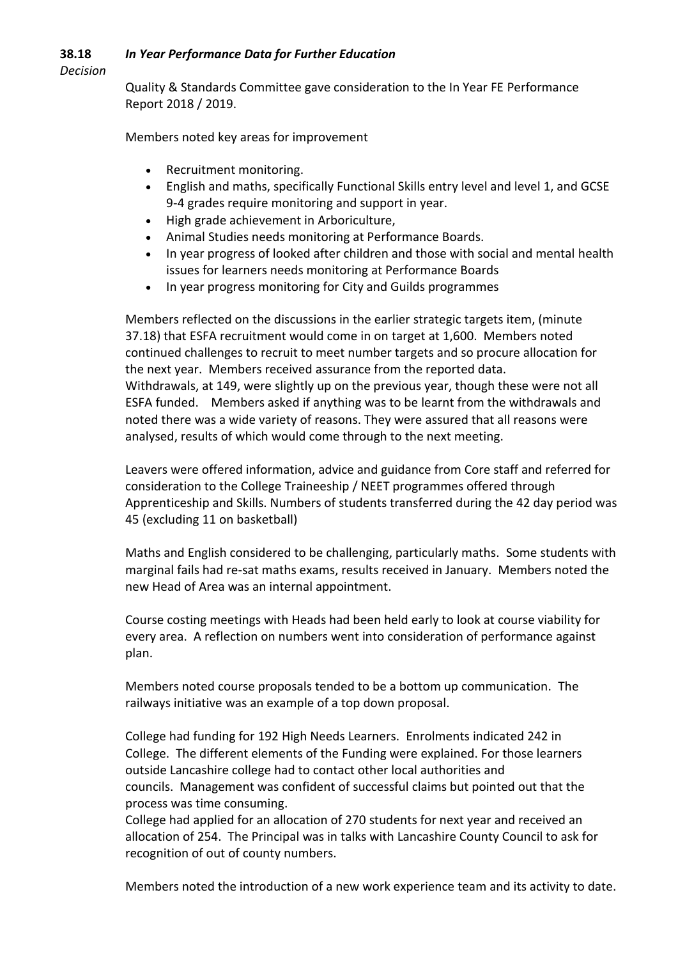#### **38.18** *In Year Performance Data for Further Education*

*Decision*

Quality & Standards Committee gave consideration to the In Year FE Performance Report 2018 / 2019.

Members noted key areas for improvement

- Recruitment monitoring.
- English and maths, specifically Functional Skills entry level and level 1, and GCSE 9-4 grades require monitoring and support in year.
- High grade achievement in Arboriculture,
- Animal Studies needs monitoring at Performance Boards.
- In year progress of looked after children and those with social and mental health issues for learners needs monitoring at Performance Boards
- In year progress monitoring for City and Guilds programmes

Members reflected on the discussions in the earlier strategic targets item, (minute 37.18) that ESFA recruitment would come in on target at 1,600. Members noted continued challenges to recruit to meet number targets and so procure allocation for the next year. Members received assurance from the reported data. Withdrawals, at 149, were slightly up on the previous year, though these were not all ESFA funded. Members asked if anything was to be learnt from the withdrawals and noted there was a wide variety of reasons. They were assured that all reasons were analysed, results of which would come through to the next meeting.

Leavers were offered information, advice and guidance from Core staff and referred for consideration to the College Traineeship / NEET programmes offered through Apprenticeship and Skills. Numbers of students transferred during the 42 day period was 45 (excluding 11 on basketball)

Maths and English considered to be challenging, particularly maths. Some students with marginal fails had re-sat maths exams, results received in January. Members noted the new Head of Area was an internal appointment.

Course costing meetings with Heads had been held early to look at course viability for every area. A reflection on numbers went into consideration of performance against plan.

Members noted course proposals tended to be a bottom up communication. The railways initiative was an example of a top down proposal.

College had funding for 192 High Needs Learners. Enrolments indicated 242 in College. The different elements of the Funding were explained. For those learners outside Lancashire college had to contact other local authorities and councils. Management was confident of successful claims but pointed out that the process was time consuming.

College had applied for an allocation of 270 students for next year and received an allocation of 254. The Principal was in talks with Lancashire County Council to ask for recognition of out of county numbers.

Members noted the introduction of a new work experience team and its activity to date.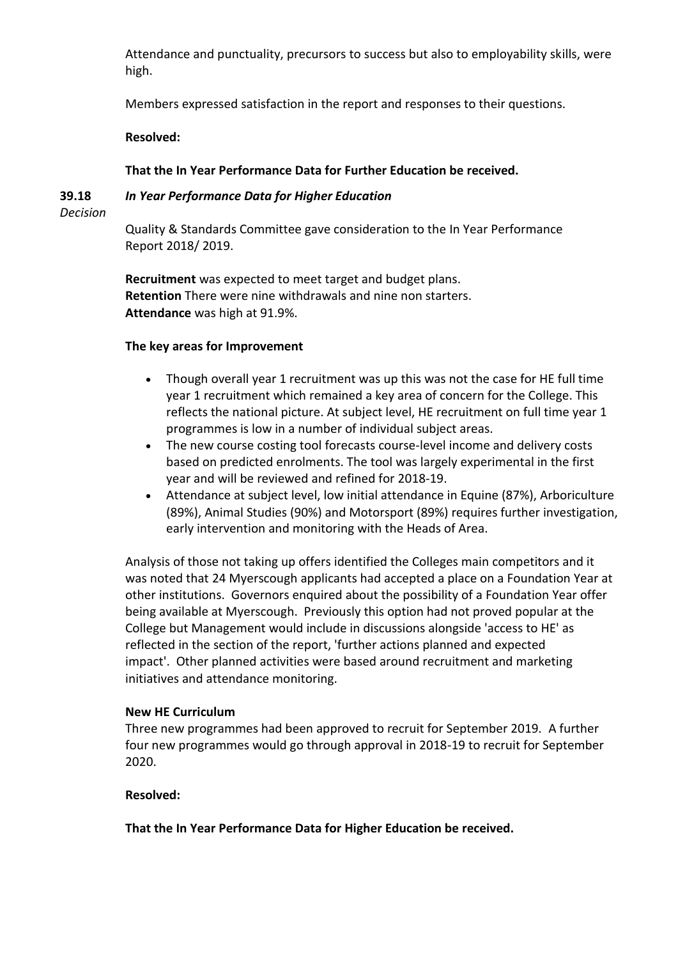Attendance and punctuality, precursors to success but also to employability skills, were high.

Members expressed satisfaction in the report and responses to their questions.

**Resolved:**

## **That the In Year Performance Data for Further Education be received.**

## *In Year Performance Data for Higher Education*

**39.18** *Decision*

> Quality & Standards Committee gave consideration to the In Year Performance Report 2018/ 2019.

**Recruitment** was expected to meet target and budget plans. **Retention** There were nine withdrawals and nine non starters. **Attendance** was high at 91.9%.

### **The key areas for Improvement**

- Though overall year 1 recruitment was up this was not the case for HE full time year 1 recruitment which remained a key area of concern for the College. This reflects the national picture. At subject level, HE recruitment on full time year 1 programmes is low in a number of individual subject areas.
- The new course costing tool forecasts course-level income and delivery costs based on predicted enrolments. The tool was largely experimental in the first year and will be reviewed and refined for 2018-19.
- Attendance at subject level, low initial attendance in Equine (87%), Arboriculture (89%), Animal Studies (90%) and Motorsport (89%) requires further investigation, early intervention and monitoring with the Heads of Area.

Analysis of those not taking up offers identified the Colleges main competitors and it was noted that 24 Myerscough applicants had accepted a place on a Foundation Year at other institutions. Governors enquired about the possibility of a Foundation Year offer being available at Myerscough. Previously this option had not proved popular at the College but Management would include in discussions alongside 'access to HE' as reflected in the section of the report, 'further actions planned and expected impact'. Other planned activities were based around recruitment and marketing initiatives and attendance monitoring.

### **New HE Curriculum**

Three new programmes had been approved to recruit for September 2019. A further four new programmes would go through approval in 2018-19 to recruit for September 2020.

# **Resolved:**

**That the In Year Performance Data for Higher Education be received.**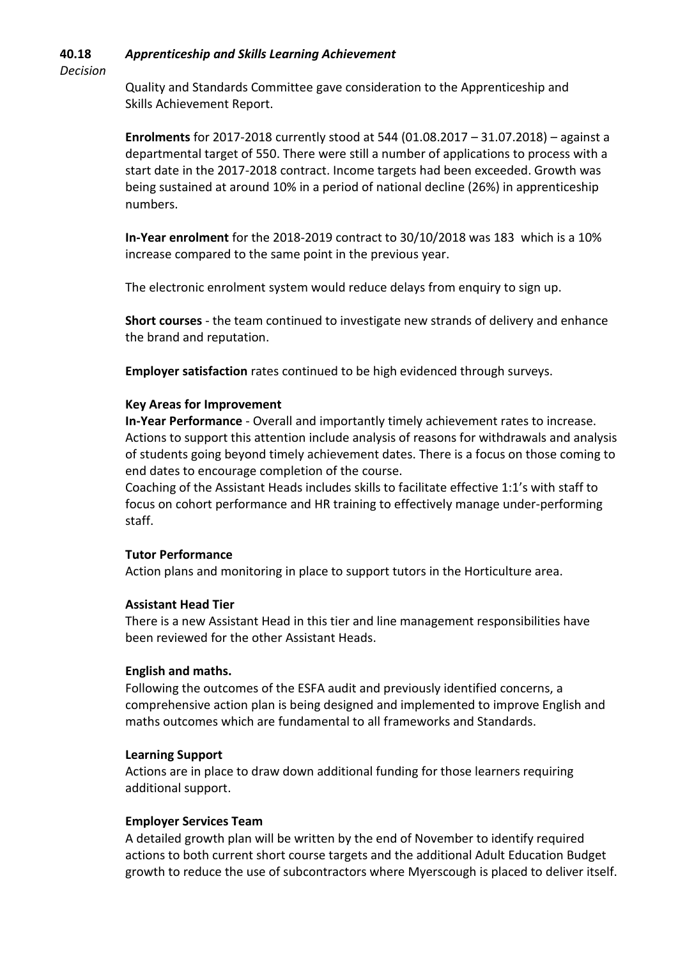#### **40.18** *Apprenticeship and Skills Learning Achievement*

*Decision*

Quality and Standards Committee gave consideration to the Apprenticeship and Skills Achievement Report.

**Enrolments** for 2017-2018 currently stood at 544 (01.08.2017 – 31.07.2018) – against a departmental target of 550. There were still a number of applications to process with a start date in the 2017-2018 contract. Income targets had been exceeded. Growth was being sustained at around 10% in a period of national decline (26%) in apprenticeship numbers.

**In-Year enrolment** for the 2018-2019 contract to 30/10/2018 was 183 which is a 10% increase compared to the same point in the previous year.

The electronic enrolment system would reduce delays from enquiry to sign up.

**Short courses** - the team continued to investigate new strands of delivery and enhance the brand and reputation.

**Employer satisfaction** rates continued to be high evidenced through surveys.

### **Key Areas for Improvement**

**In-Year Performance** - Overall and importantly timely achievement rates to increase. Actions to support this attention include analysis of reasons for withdrawals and analysis of students going beyond timely achievement dates. There is a focus on those coming to end dates to encourage completion of the course.

Coaching of the Assistant Heads includes skills to facilitate effective 1:1's with staff to focus on cohort performance and HR training to effectively manage under-performing staff.

### **Tutor Performance**

Action plans and monitoring in place to support tutors in the Horticulture area.

### **Assistant Head Tier**

There is a new Assistant Head in this tier and line management responsibilities have been reviewed for the other Assistant Heads.

### **English and maths.**

Following the outcomes of the ESFA audit and previously identified concerns, a comprehensive action plan is being designed and implemented to improve English and maths outcomes which are fundamental to all frameworks and Standards.

### **Learning Support**

Actions are in place to draw down additional funding for those learners requiring additional support.

### **Employer Services Team**

A detailed growth plan will be written by the end of November to identify required actions to both current short course targets and the additional Adult Education Budget growth to reduce the use of subcontractors where Myerscough is placed to deliver itself.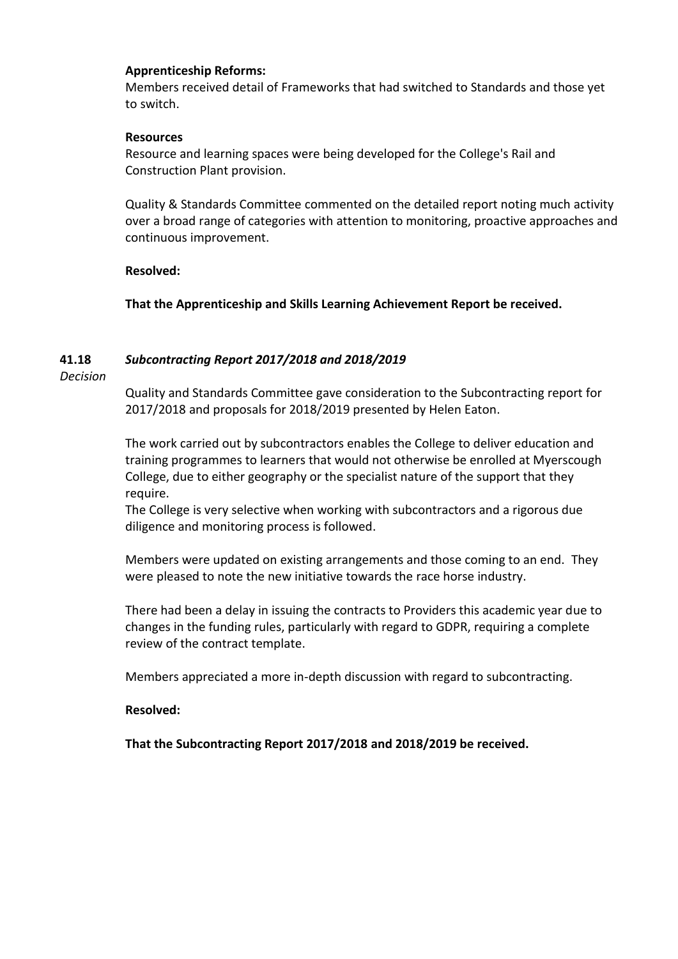#### **Apprenticeship Reforms:**

Members received detail of Frameworks that had switched to Standards and those yet to switch.

#### **Resources**

Resource and learning spaces were being developed for the College's Rail and Construction Plant provision.

Quality & Standards Committee commented on the detailed report noting much activity over a broad range of categories with attention to monitoring, proactive approaches and continuous improvement.

### **Resolved:**

**That the Apprenticeship and Skills Learning Achievement Report be received.**

#### **41.18** *Subcontracting Report 2017/2018 and 2018/2019*

*Decision*

Quality and Standards Committee gave consideration to the Subcontracting report for 2017/2018 and proposals for 2018/2019 presented by Helen Eaton.

The work carried out by subcontractors enables the College to deliver education and training programmes to learners that would not otherwise be enrolled at Myerscough College, due to either geography or the specialist nature of the support that they require.

The College is very selective when working with subcontractors and a rigorous due diligence and monitoring process is followed.

Members were updated on existing arrangements and those coming to an end. They were pleased to note the new initiative towards the race horse industry.

There had been a delay in issuing the contracts to Providers this academic year due to changes in the funding rules, particularly with regard to GDPR, requiring a complete review of the contract template.

Members appreciated a more in-depth discussion with regard to subcontracting.

### **Resolved:**

**That the Subcontracting Report 2017/2018 and 2018/2019 be received.**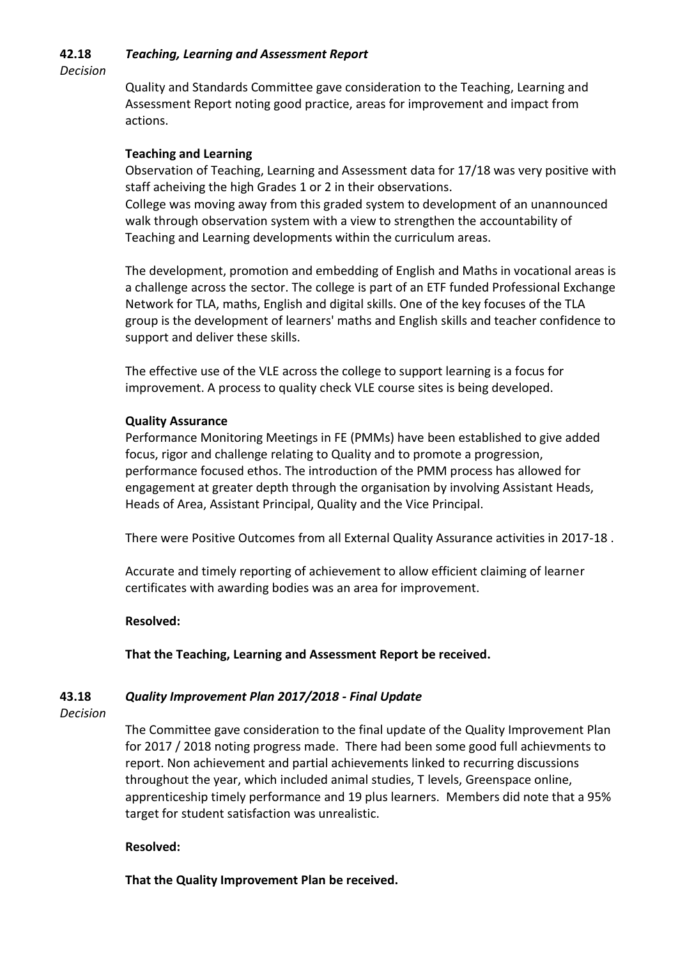#### **42.18** *Teaching, Learning and Assessment Report*

*Decision*

Quality and Standards Committee gave consideration to the Teaching, Learning and Assessment Report noting good practice, areas for improvement and impact from actions.

### **Teaching and Learning**

Observation of Teaching, Learning and Assessment data for 17/18 was very positive with staff acheiving the high Grades 1 or 2 in their observations.

College was moving away from this graded system to development of an unannounced walk through observation system with a view to strengthen the accountability of Teaching and Learning developments within the curriculum areas.

The development, promotion and embedding of English and Maths in vocational areas is a challenge across the sector. The college is part of an ETF funded Professional Exchange Network for TLA, maths, English and digital skills. One of the key focuses of the TLA group is the development of learners' maths and English skills and teacher confidence to support and deliver these skills.

The effective use of the VLE across the college to support learning is a focus for improvement. A process to quality check VLE course sites is being developed.

### **Quality Assurance**

Performance Monitoring Meetings in FE (PMMs) have been established to give added focus, rigor and challenge relating to Quality and to promote a progression, performance focused ethos. The introduction of the PMM process has allowed for engagement at greater depth through the organisation by involving Assistant Heads, Heads of Area, Assistant Principal, Quality and the Vice Principal.

There were Positive Outcomes from all External Quality Assurance activities in 2017-18 .

Accurate and timely reporting of achievement to allow efficient claiming of learner certificates with awarding bodies was an area for improvement.

### **Resolved:**

**That the Teaching, Learning and Assessment Report be received.**

#### **43.18** *Quality Improvement Plan 2017/2018 - Final Update*

#### *Decision*

The Committee gave consideration to the final update of the Quality Improvement Plan for 2017 / 2018 noting progress made. There had been some good full achievments to report. Non achievement and partial achievements linked to recurring discussions throughout the year, which included animal studies, T levels, Greenspace online, apprenticeship timely performance and 19 plus learners. Members did note that a 95% target for student satisfaction was unrealistic.

#### **Resolved:**

**That the Quality Improvement Plan be received.**